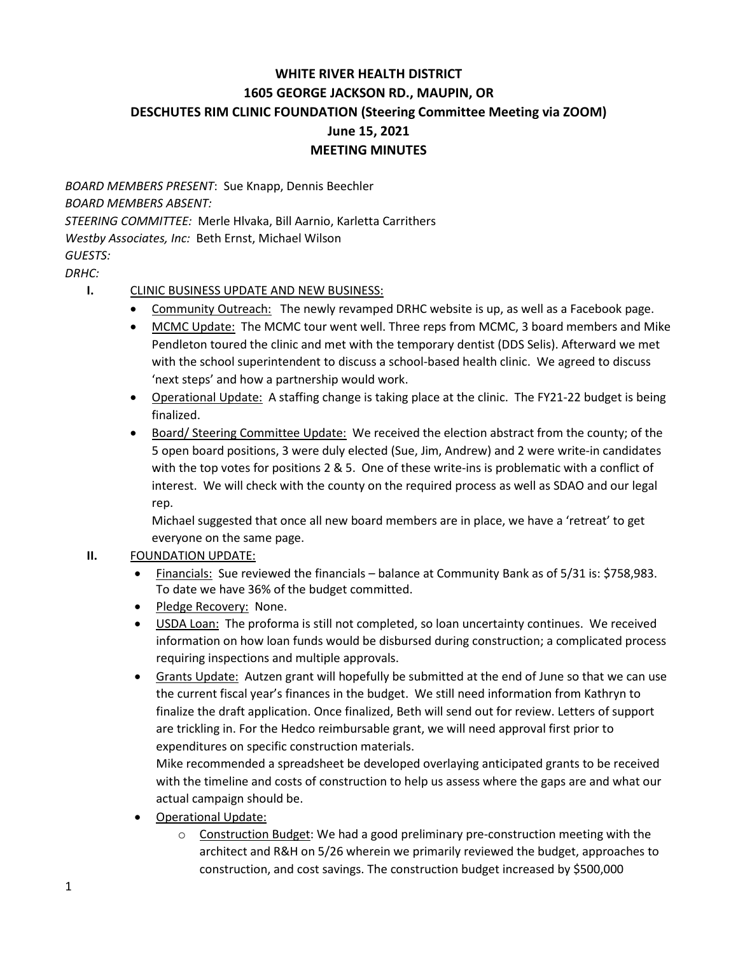## **WHITE RIVER HEALTH DISTRICT 1605 GEORGE JACKSON RD., MAUPIN, OR DESCHUTES RIM CLINIC FOUNDATION (Steering Committee Meeting via ZOOM) June 15, 2021 MEETING MINUTES**

*BOARD MEMBERS PRESENT*: Sue Knapp, Dennis Beechler *BOARD MEMBERS ABSENT: STEERING COMMITTEE:* Merle Hlvaka, Bill Aarnio, Karletta Carrithers *Westby Associates, Inc:* Beth Ernst, Michael Wilson *GUESTS: DRHC:*

- **I.** CLINIC BUSINESS UPDATE AND NEW BUSINESS:
	- Community Outreach: The newly revamped DRHC website is up, as well as a Facebook page.
	- MCMC Update: The MCMC tour went well. Three reps from MCMC, 3 board members and Mike Pendleton toured the clinic and met with the temporary dentist (DDS Selis). Afterward we met with the school superintendent to discuss a school-based health clinic. We agreed to discuss 'next steps' and how a partnership would work.
	- Operational Update: A staffing change is taking place at the clinic. The FY21-22 budget is being finalized.
	- Board/ Steering Committee Update: We received the election abstract from the county; of the 5 open board positions, 3 were duly elected (Sue, Jim, Andrew) and 2 were write-in candidates with the top votes for positions 2 & 5. One of these write-ins is problematic with a conflict of interest. We will check with the county on the required process as well as SDAO and our legal rep.

Michael suggested that once all new board members are in place, we have a 'retreat' to get everyone on the same page.

## **II.** FOUNDATION UPDATE:

- Financials: Sue reviewed the financials balance at Community Bank as of 5/31 is: \$758,983. To date we have 36% of the budget committed.
- Pledge Recovery: None.
- USDA Loan: The proforma is still not completed, so loan uncertainty continues. We received information on how loan funds would be disbursed during construction; a complicated process requiring inspections and multiple approvals.
- Grants Update: Autzen grant will hopefully be submitted at the end of June so that we can use the current fiscal year's finances in the budget. We still need information from Kathryn to finalize the draft application. Once finalized, Beth will send out for review. Letters of support are trickling in. For the Hedco reimbursable grant, we will need approval first prior to expenditures on specific construction materials.

Mike recommended a spreadsheet be developed overlaying anticipated grants to be received with the timeline and costs of construction to help us assess where the gaps are and what our actual campaign should be.

- Operational Update:
	- $\circ$  Construction Budget: We had a good preliminary pre-construction meeting with the architect and R&H on 5/26 wherein we primarily reviewed the budget, approaches to construction, and cost savings. The construction budget increased by \$500,000